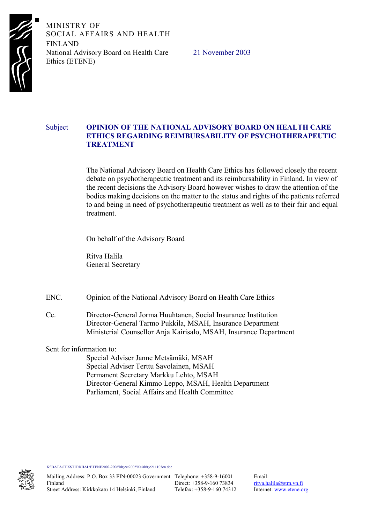

MINISTRY OF SOCIAL AFFAIRS AND HEALTH FINLAND National Advisory Board on Health Care Ethics (ETENE)

21 November 2003

## Subject **OPINION OF THE NATIONAL ADVISORY BOARD ON HEALTH CARE ETHICS REGARDING REIMBURSABILITY OF PSYCHOTHERAPEUTIC TREATMENT**

The National Advisory Board on Health Care Ethics has followed closely the recent debate on psychotherapeutic treatment and its reimbursability in Finland. In view of the recent decisions the Advisory Board however wishes to draw the attention of the bodies making decisions on the matter to the status and rights of the patients referred to and being in need of psychotherapeutic treatment as well as to their fair and equal treatment.

On behalf of the Advisory Board

Ritva Halila General Secretary

ENC. Opinion of the National Advisory Board on Health Care Ethics

Cc. Director-General Jorma Huuhtanen, Social Insurance Institution Director-General Tarmo Pukkila, MSAH, Insurance Department Ministerial Counsellor Anja Kairisalo, MSAH, Insurance Department

Sent for information to:

 Special Adviser Janne Metsämäki, MSAH Special Adviser Terttu Savolainen, MSAH Permanent Secretary Markku Lehto, MSAH Director-General Kimmo Leppo, MSAH, Health Department Parliament, Social Affairs and Health Committee

K:\DATA\TEKSTIT\RHAL\ETENE2002-2006\kirjeet2002\Kelakirje211103en.doc